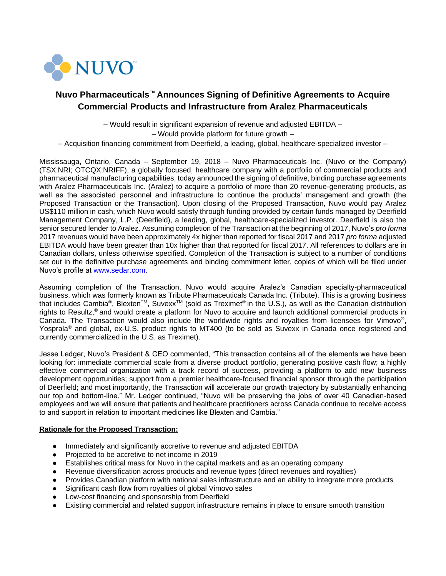

# **Nuvo Pharmaceuticals™ Announces Signing of Definitive Agreements to Acquire Commercial Products and Infrastructure from Aralez Pharmaceuticals**

– Would result in significant expansion of revenue and adjusted EBITDA –

– Would provide platform for future growth –

– Acquisition financing commitment from Deerfield, a leading, global, healthcare-specialized investor –

Mississauga, Ontario, Canada – September 19, 2018 – Nuvo Pharmaceuticals Inc. (Nuvo or the Company) (TSX:NRI; OTCQX:NRIFF), a globally focused, healthcare company with a portfolio of commercial products and pharmaceutical manufacturing capabilities, today announced the signing of definitive, binding purchase agreements with Aralez Pharmaceuticals Inc. (Aralez) to acquire a portfolio of more than 20 revenue-generating products, as well as the associated personnel and infrastructure to continue the products' management and growth (the Proposed Transaction or the Transaction). Upon closing of the Proposed Transaction, Nuvo would pay Aralez US\$110 million in cash, which Nuvo would satisfy through funding provided by certain funds managed by Deerfield Management Company, L.P. (Deerfield), a leading, global, healthcare-specialized investor. Deerfield is also the senior secured lender to Aralez. Assuming completion of the Transaction at the beginning of 2017, Nuvo's *pro forma* 2017 revenues would have been approximately 4x higher than reported for fiscal 2017 and 2017 *pro forma* adjusted EBITDA would have been greater than 10x higher than that reported for fiscal 2017. All references to dollars are in Canadian dollars, unless otherwise specified. Completion of the Transaction is subject to a number of conditions set out in the definitive purchase agreements and binding commitment letter, copies of which will be filed under Nuvo's profile at [www.sedar.com.](http://www.sedar.com/)

Assuming completion of the Transaction, Nuvo would acquire Aralez's Canadian specialty-pharmaceutical business, which was formerly known as Tribute Pharmaceuticals Canada Inc. (Tribute). This is a growing business that includes Cambia®, Blexten™, Suvexx<sup>™</sup> (sold as Treximet® in the U.S.), as well as the Canadian distribution rights to Resultz,® and would create a platform for Nuvo to acquire and launch additional commercial products in Canada. The Transaction would also include the worldwide rights and royalties from licensees for Vimovo®, Yosprala® and global, ex-U.S. product rights to MT400 (to be sold as Suvexx in Canada once registered and currently commercialized in the U.S. as Treximet).

Jesse Ledger, Nuvo's President & CEO commented, "This transaction contains all of the elements we have been looking for: immediate commercial scale from a diverse product portfolio, generating positive cash flow; a highly effective commercial organization with a track record of success, providing a platform to add new business development opportunities; support from a premier healthcare-focused financial sponsor through the participation of Deerfield; and most importantly, the Transaction will accelerate our growth trajectory by substantially enhancing our top and bottom-line." Mr. Ledger continued, "Nuvo will be preserving the jobs of over 40 Canadian-based employees and we will ensure that patients and healthcare practitioners across Canada continue to receive access to and support in relation to important medicines like Blexten and Cambia."

# **Rationale for the Proposed Transaction:**

- Immediately and significantly accretive to revenue and adjusted EBITDA
- Projected to be accretive to net income in 2019
- Establishes critical mass for Nuvo in the capital markets and as an operating company
- Revenue diversification across products and revenue types (direct revenues and royalties)
- Provides Canadian platform with national sales infrastructure and an ability to integrate more products
- Significant cash flow from royalties of global Vimovo sales
- Low-cost financing and sponsorship from Deerfield
- Existing commercial and related support infrastructure remains in place to ensure smooth transition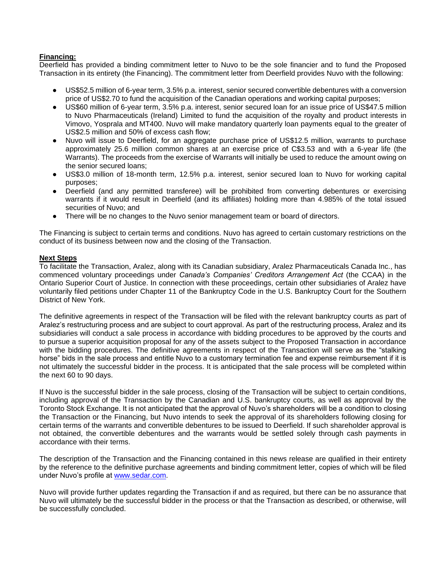# **Financing:**

Deerfield has provided a binding commitment letter to Nuvo to be the sole financier and to fund the Proposed Transaction in its entirety (the Financing). The commitment letter from Deerfield provides Nuvo with the following:

- US\$52.5 million of 6-year term, 3.5% p.a. interest, senior secured convertible debentures with a conversion price of US\$2.70 to fund the acquisition of the Canadian operations and working capital purposes;
- US\$60 million of 6-year term, 3.5% p.a. interest, senior secured loan for an issue price of US\$47.5 million to Nuvo Pharmaceuticals (Ireland) Limited to fund the acquisition of the royalty and product interests in Vimovo, Yosprala and MT400. Nuvo will make mandatory quarterly loan payments equal to the greater of US\$2.5 million and 50% of excess cash flow;
- Nuvo will issue to Deerfield, for an aggregate purchase price of US\$12.5 million, warrants to purchase approximately 25.6 million common shares at an exercise price of C\$3.53 and with a 6-year life (the Warrants). The proceeds from the exercise of Warrants will initially be used to reduce the amount owing on the senior secured loans;
- US\$3.0 million of 18-month term, 12.5% p.a. interest, senior secured loan to Nuvo for working capital purposes;
- Deerfield (and any permitted transferee) will be prohibited from converting debentures or exercising warrants if it would result in Deerfield (and its affiliates) holding more than 4.985% of the total issued securities of Nuvo; and
- There will be no changes to the Nuvo senior management team or board of directors.

The Financing is subject to certain terms and conditions. Nuvo has agreed to certain customary restrictions on the conduct of its business between now and the closing of the Transaction.

# **Next Steps**

To facilitate the Transaction, Aralez, along with its Canadian subsidiary, Aralez Pharmaceuticals Canada Inc., has commenced voluntary proceedings under *Canada's Companies' Creditors Arrangement Act* (the CCAA) in the Ontario Superior Court of Justice. In connection with these proceedings, certain other subsidiaries of Aralez have voluntarily filed petitions under Chapter 11 of the Bankruptcy Code in the U.S. Bankruptcy Court for the Southern District of New York.

The definitive agreements in respect of the Transaction will be filed with the relevant bankruptcy courts as part of Aralez's restructuring process and are subject to court approval. As part of the restructuring process, Aralez and its subsidiaries will conduct a sale process in accordance with bidding procedures to be approved by the courts and to pursue a superior acquisition proposal for any of the assets subject to the Proposed Transaction in accordance with the bidding procedures. The definitive agreements in respect of the Transaction will serve as the "stalking horse" bids in the sale process and entitle Nuvo to a customary termination fee and expense reimbursement if it is not ultimately the successful bidder in the process. It is anticipated that the sale process will be completed within the next 60 to 90 days.

If Nuvo is the successful bidder in the sale process, closing of the Transaction will be subject to certain conditions, including approval of the Transaction by the Canadian and U.S. bankruptcy courts, as well as approval by the Toronto Stock Exchange. It is not anticipated that the approval of Nuvo's shareholders will be a condition to closing the Transaction or the Financing, but Nuvo intends to seek the approval of its shareholders following closing for certain terms of the warrants and convertible debentures to be issued to Deerfield. If such shareholder approval is not obtained, the convertible debentures and the warrants would be settled solely through cash payments in accordance with their terms.

The description of the Transaction and the Financing contained in this news release are qualified in their entirety by the reference to the definitive purchase agreements and binding commitment letter, copies of which will be filed under Nuvo's profile at [www.sedar.com.](http://www.sedar.com/)

Nuvo will provide further updates regarding the Transaction if and as required, but there can be no assurance that Nuvo will ultimately be the successful bidder in the process or that the Transaction as described, or otherwise, will be successfully concluded.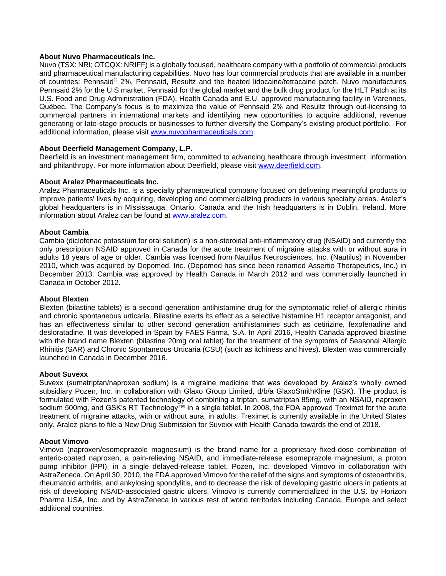# **About Nuvo Pharmaceuticals Inc.**

Nuvo (TSX: NRI; OTCQX: NRIFF) is a globally focused, healthcare company with a portfolio of commercial products and pharmaceutical manufacturing capabilities. Nuvo has four commercial products that are available in a number of countries: Pennsaid® 2%, Pennsaid, Resultz and the heated lidocaine/tetracaine patch. Nuvo manufactures Pennsaid 2% for the U.S market, Pennsaid for the global market and the bulk drug product for the HLT Patch at its U.S. Food and Drug Administration (FDA), Health Canada and E.U. approved manufacturing facility in Varennes, Québec. The Company's focus is to maximize the value of Pennsaid 2% and Resultz through out-licensing to commercial partners in international markets and identifying new opportunities to acquire additional, revenue generating or late-stage products or businesses to further diversify the Company's existing product portfolio. For additional information, please visit [www.nuvopharmaceuticals.com.](http://www.nuvopharmaceuticals.com/)

# **About Deerfield Management Company, L.P.**

Deerfield is an investment management firm, committed to advancing healthcare through investment, information and philanthropy. For more information about Deerfield, please visit [www.deerfield.com.](http://www.deerfield.com/)

#### **About Aralez Pharmaceuticals Inc.**

Aralez Pharmaceuticals Inc. is a specialty pharmaceutical company focused on delivering meaningful products to improve patients' lives by acquiring, developing and commercializing products in various specialty areas. Aralez's global headquarters is in Mississauga, Ontario, Canada and the Irish headquarters is in Dublin, Ireland. More information about Aralez can be found at [www.aralez.com.](http://www.aralez.com/)

#### **About Cambia**

Cambia (diclofenac potassium for oral solution) is a non-steroidal anti-inflammatory drug (NSAID) and currently the only prescription NSAID approved in Canada for the acute treatment of migraine attacks with or without aura in adults 18 years of age or older. Cambia was licensed from Nautilus Neurosciences, Inc. (Nautilus) in November 2010, which was acquired by Depomed, Inc. (Depomed has since been renamed Assertio Therapeutics, Inc.) in December 2013. Cambia was approved by Health Canada in March 2012 and was commercially launched in Canada in October 2012.

#### **About Blexten**

Blexten (bilastine tablets) is a second generation antihistamine drug for the symptomatic relief of allergic rhinitis and chronic spontaneous urticaria. Bilastine exerts its effect as a selective histamine H1 receptor antagonist, and has an effectiveness similar to other second generation antihistamines such as cetirizine, fexofenadine and desloratadine. It was developed in Spain by FAES Farma, S.A. In April 2016, Health Canada approved bilastine with the brand name Blexten (bilastine 20mg oral tablet) for the treatment of the symptoms of Seasonal Allergic Rhinitis (SAR) and Chronic Spontaneous Urticaria (CSU) (such as itchiness and hives). Blexten was commercially launched in Canada in December 2016.

#### **About Suvexx**

Suvexx (sumatriptan/naproxen sodium) is a migraine medicine that was developed by Aralez's wholly owned subsidiary Pozen, Inc. in collaboration with Glaxo Group Limited, d/b/a GlaxoSmithKline (GSK). The product is formulated with Pozen's patented technology of combining a triptan, sumatriptan 85mg, with an NSAID, naproxen sodium 500mg, and GSK's RT Technology™ in a single tablet. In 2008, the FDA approved Treximet for the acute treatment of migraine attacks, with or without aura, in adults. Treximet is currently available in the United States only. Aralez plans to file a New Drug Submission for Suvexx with Health Canada towards the end of 2018.

#### **About Vimovo**

Vimovo (naproxen/esomeprazole magnesium) is the brand name for a proprietary fixed-dose combination of enteric-coated naproxen, a pain-relieving NSAID, and immediate-release esomeprazole magnesium, a proton pump inhibitor (PPI), in a single delayed-release tablet. Pozen, Inc. developed Vimovo in collaboration with AstraZeneca. On April 30, 2010, the FDA approved Vimovo for the relief of the signs and symptoms of osteoarthritis, rheumatoid arthritis, and ankylosing spondylitis, and to decrease the risk of developing gastric ulcers in patients at risk of developing NSAID-associated gastric ulcers. Vimovo is currently commercialized in the U.S. by Horizon Pharma USA, Inc. and by AstraZeneca in various rest of world territories including Canada, Europe and select additional countries.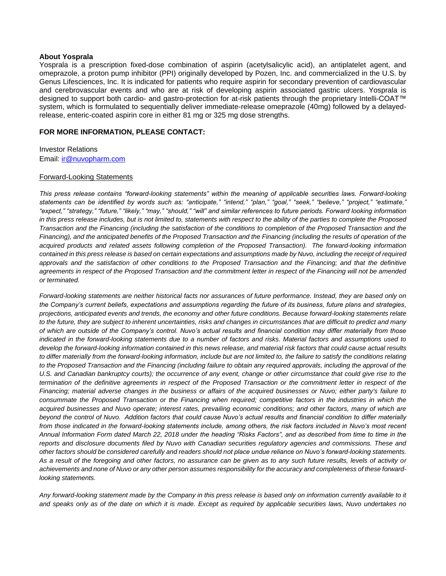#### **About Yosprala**

Yosprala is a prescription fixed-dose combination of aspirin (acetylsalicylic acid), an antiplatelet agent, and omeprazole, a proton pump inhibitor (PPI) originally developed by Pozen, Inc. and commercialized in the U.S. by Genus Lifesciences, Inc. It is indicated for patients who require aspirin for secondary prevention of cardiovascular and cerebrovascular events and who are at risk of developing aspirin associated gastric ulcers. Yosprala is designed to support both cardio- and gastro-protection for at-risk patients through the proprietary Intelli-COAT™ system, which is formulated to sequentially deliver immediate-release omeprazole (40mg) followed by a delayedrelease, enteric-coated aspirin core in either 81 mg or 325 mg dose strengths.

# **FOR MORE INFORMATION, PLEASE CONTACT:**

Investor Relations Email: [ir@nuvopharm.com](mailto:ir@nuvopharm.com)

#### Forward-Looking Statements

*This press release contains "forward-looking statements" within the meaning of applicable securities laws. Forward-looking statements can be identified by words such as: "anticipate," "intend," "plan," "goal," "seek," "believe," "project," "estimate," "expect," "strategy," "future," "likely," "may," "should," "will" and similar references to future periods. Forward looking information in this press release includes, but is not limited to, statements with respect to the ability of the parties to complete the Proposed Transaction and the Financing (including the satisfaction of the conditions to completion of the Proposed Transaction and the Financing), and the anticipated benefits of the Proposed Transaction and the Financing (including the results of operation of the acquired products and related assets following completion of the Proposed Transaction). The forward-looking information contained in this press release is based on certain expectations and assumptions made by Nuvo, including the receipt of required approvals and the satisfaction of other conditions to the Proposed Transaction and the Financing; and that the definitive agreements in respect of the Proposed Transaction and the commitment letter in respect of the Financing will not be amended or terminated.* 

*Forward-looking statements are neither historical facts nor assurances of future performance. Instead, they are based only on the Company's current beliefs, expectations and assumptions regarding the future of its business, future plans and strategies, projections, anticipated events and trends, the economy and other future conditions. Because forward-looking statements relate to the future, they are subject to inherent uncertainties, risks and changes in circumstances that are difficult to predict and many of which are outside of the Company's control. Nuvo's actual results and financial condition may differ materially from those indicated in the forward-looking statements due to a number of factors and risks. Material factors and assumptions used to develop the forward-looking information contained in this news release, and material risk factors that could cause actual results to differ materially from the forward-looking information, include but are not limited to, the failure to satisfy the conditions relating*  to the Proposed Transaction and the Financing (including failure to obtain any required approvals, including the approval of the *U.S. and Canadian bankruptcy courts); the occurrence of any event, change or other circumstance that could give rise to the termination of the definitive agreements in respect of the Proposed Transaction or the commitment letter in respect of the Financing; material adverse changes in the business or affairs of the acquired businesses or Nuvo; either party's failure to*  consummate the Proposed Transaction or the Financing when required; competitive factors in the industries in which the *acquired businesses and Nuvo operate; interest rates, prevailing economic conditions; and other factors, many of which are beyond the control of Nuvo. Addition factors that could cause Nuvo's actual results and financial condition to differ materially from those indicated in the forward-looking statements include, among others, the risk factors included in Nuvo's most recent Annual Information Form dated March 22, 2018 under the heading "Risks Factors", and as described from time to time in the reports and disclosure documents filed by Nuvo with Canadian securities regulatory agencies and commissions. These and other factors should be considered carefully and readers should not place undue reliance on Nuvo's forward-looking statements. As a result of the foregoing and other factors, no assurance can be given as to any such future results, levels of activity or achievements and none of Nuvo or any other person assumes responsibility for the accuracy and completeness of these forwardlooking statements.* 

*Any forward-looking statement made by the Company in this press release is based only on information currently available to it and speaks only as of the date on which it is made. Except as required by applicable securities laws, Nuvo undertakes no*